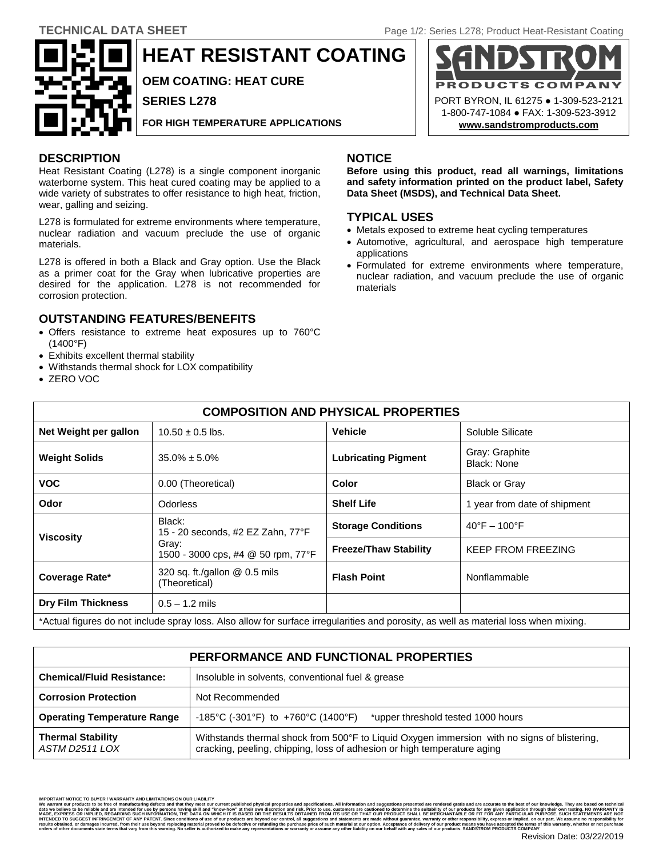ODUCTS

PORT BYRON, IL 61275 ● 1-309-523-2121 1-800-747-1084 ● FAX: 1-309-523-3912 **[www.sandstromproducts.com](file:///C:/Documents%20and%20Settings/Nicole/Desktop/TDS/www.sandstromproducts.com)**

COMPA



**HEAT RESISTANT COATING**

**OEM COATING: HEAT CURE**

**SERIES L278**

**FOR HIGH TEMPERATURE APPLICATIONS**

# **DESCRIPTION NOTICE**

Heat Resistant Coating (L278) is a single component inorganic waterborne system. This heat cured coating may be applied to a wide variety of substrates to offer resistance to high heat, friction, wear, galling and seizing.

L278 is formulated for extreme environments where temperature, nuclear radiation and vacuum preclude the use of organic materials.

L278 is offered in both a Black and Gray option. Use the Black as a primer coat for the Gray when lubricative properties are desired for the application. L278 is not recommended for corrosion protection.

## **OUTSTANDING FEATURES/BENEFITS**

- Offers resistance to extreme heat exposures up to 760°C (1400°F)
- Exhibits excellent thermal stability
- Withstands thermal shock for LOX compatibility
- ZERO VOC

**Before using this product, read all warnings, limitations and safety information printed on the product label, Safety Data Sheet (MSDS), and Technical Data Sheet.**

## **TYPICAL USES**

- Metals exposed to extreme heat cycling temperatures
- Automotive, agricultural, and aerospace high temperature applications
- Formulated for extreme environments where temperature, nuclear radiation, and vacuum preclude the use of organic materials

| <b>COMPOSITION AND PHYSICAL PROPERTIES</b>                                                                                           |                                                                                            |                              |                                   |
|--------------------------------------------------------------------------------------------------------------------------------------|--------------------------------------------------------------------------------------------|------------------------------|-----------------------------------|
| Net Weight per gallon                                                                                                                | $10.50 \pm 0.5$ lbs.                                                                       | <b>Vehicle</b>               | Soluble Silicate                  |
| <b>Weight Solids</b>                                                                                                                 | $35.0\% \pm 5.0\%$                                                                         | <b>Lubricating Pigment</b>   | Gray: Graphite<br>Black: None     |
| <b>VOC</b>                                                                                                                           | 0.00 (Theoretical)                                                                         | Color                        | <b>Black or Gray</b>              |
| Odor                                                                                                                                 | <b>Odorless</b>                                                                            | <b>Shelf Life</b>            | 1 year from date of shipment      |
| <b>Viscosity</b>                                                                                                                     | Black:<br>15 - 20 seconds, #2 EZ Zahn, 77°F<br>Gray:<br>1500 - 3000 cps, #4 @ 50 rpm, 77°F | <b>Storage Conditions</b>    | $40^{\circ}$ F - 100 $^{\circ}$ F |
|                                                                                                                                      |                                                                                            | <b>Freeze/Thaw Stability</b> | <b>KEEP FROM FREEZING</b>         |
| Coverage Rate*                                                                                                                       | 320 sq. ft./gallon @ 0.5 mils<br>(Theoretical)                                             | <b>Flash Point</b>           | Nonflammable                      |
| <b>Dry Film Thickness</b>                                                                                                            | $0.5 - 1.2$ mils                                                                           |                              |                                   |
| *Actual figures do not include spray loss. Also allow for surface irregularities and porosity, as well as material loss when mixing. |                                                                                            |                              |                                   |

| PERFORMANCE AND FUNCTIONAL PROPERTIES      |                                                                                                                                                                        |  |  |
|--------------------------------------------|------------------------------------------------------------------------------------------------------------------------------------------------------------------------|--|--|
| <b>Chemical/Fluid Resistance:</b>          | Insoluble in solvents, conventional fuel & grease                                                                                                                      |  |  |
| <b>Corrosion Protection</b>                | Not Recommended                                                                                                                                                        |  |  |
| <b>Operating Temperature Range</b>         | -185°C (-301°F) to +760°C (1400°F)<br>*upper threshold tested 1000 hours                                                                                               |  |  |
| <b>Thermal Stability</b><br>ASTM D2511 LOX | Withstands thermal shock from 500°F to Liquid Oxygen immersion with no signs of blistering,<br>cracking, peeling, chipping, loss of adhesion or high temperature aging |  |  |

**IMPORTANT IMPORTANTS**<br>Its to be free of ma data we believe to be reliable and are intended for use by persons having skill and "know-how" at their own discretion and risk. Prior to use, customers are cautions<br>MADE, EXPRESS OR IMPLIED, REGARDING SUCH IMPORMATION, TH data we believe to be reliable and are intended for use by persons having skill and "know-how" at their own discretion and risk. Prior to use, customers are cautioned to determine the suitability of our products for any gi SUGGET HERNGERENT OF ANY MERITAING One loss of the MOND BOOKS are operated by the MOND of the SUGGET INCOLUTION IN THE RESEARCH INCOLUTION IN THE RESEARCH INCOLUTION OF THE WARD INCOLUTION OF THE RESEARCH INCOLUTION OF THE resuits obtained, or damages incurred, from their use beyond r<br>orders of other documents state terms that vary from this warn